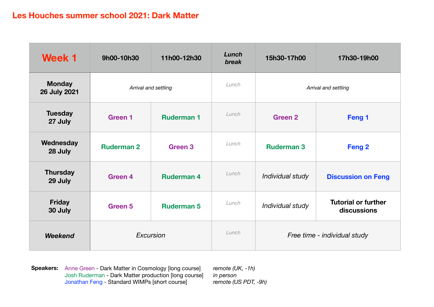| <b>Week 1</b>                        | 9h00-10h30        | 11h00-12h30          | Lunch<br>break | 15h30-17h00                  | 17h30-19h00                               |
|--------------------------------------|-------------------|----------------------|----------------|------------------------------|-------------------------------------------|
| <b>Monday</b><br><b>26 July 2021</b> |                   | Arrival and settling | Lunch          | Arrival and settling         |                                           |
| <b>Tuesday</b><br>27 July            | <b>Green 1</b>    | <b>Ruderman 1</b>    | Lunch          | Green <sub>2</sub>           | Feng 1                                    |
| Wednesday<br>28 July                 | <b>Ruderman 2</b> | Green <sub>3</sub>   | Lunch          | <b>Ruderman 3</b>            | Feng <sub>2</sub>                         |
| <b>Thursday</b><br>29 July           | <b>Green 4</b>    | <b>Ruderman 4</b>    | Lunch          | Individual study             | <b>Discussion on Feng</b>                 |
| <b>Friday</b><br>30 July             | Green 5           | <b>Ruderman 5</b>    | Lunch          | Individual study             | <b>Tutorial or further</b><br>discussions |
| <b>Weekend</b>                       |                   | Excursion            | Lunch          | Free time - individual study |                                           |

**Speakers:** Anne Green - Dark Matter in Cosmology [long course] *remote (UK, -1h)* Josh Ruderman - Dark Matter production [long course] *in person* Jonathan Feng - Standard WIMPs [short course] *remote (US PDT, -9h)*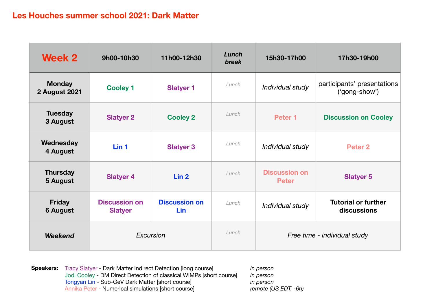| <b>Week 2</b>                         | 9h00-10h30                             | 11h00-12h30                        | Lunch<br>break | 15h30-17h00                          | 17h30-19h00                                  |
|---------------------------------------|----------------------------------------|------------------------------------|----------------|--------------------------------------|----------------------------------------------|
| <b>Monday</b><br><b>2 August 2021</b> | <b>Cooley 1</b>                        | <b>Slatyer 1</b>                   | Lunch          | Individual study                     | participants' presentations<br>('gong-show') |
| <b>Tuesday</b><br>3 August            | <b>Slatyer 2</b>                       | <b>Cooley 2</b>                    | Lunch          | Peter <sub>1</sub>                   | <b>Discussion on Cooley</b>                  |
| Wednesday<br>4 August                 | Lin <sub>1</sub>                       | <b>Slatyer 3</b>                   | Lunch          | Individual study                     | Peter <sub>2</sub>                           |
| <b>Thursday</b><br>5 August           | <b>Slatyer 4</b>                       | Lin <sub>2</sub>                   | Lunch          | <b>Discussion on</b><br><b>Peter</b> | <b>Slatyer 5</b>                             |
| <b>Friday</b><br><b>6 August</b>      | <b>Discussion on</b><br><b>Slatyer</b> | <b>Discussion on</b><br><b>Lin</b> | Lunch          | Individual study                     | <b>Tutorial or further</b><br>discussions    |
| <b>Weekend</b>                        |                                        | Excursion                          | Lunch          | Free time - individual study         |                                              |

**Speakers:** Tracy Slatyer - Dark Matter Indirect Detection [long course] *in person* Jodi Cooley - DM Direct Detection of classical WIMPs [short course] *in person* Tongyan Lin - Sub-GeV Dark Matter [short course] *in person* Annika Peter - Numerical simulations [short course] *remote (US EDT, -6h)*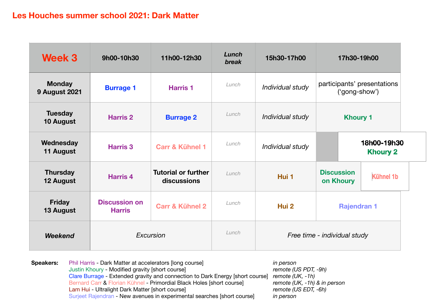| <b>Week 3</b>                         | 9h00-10h30                            | 11h00-12h30                               | Lunch<br>break | 15h30-17h00                  | 17h30-19h00                                        |  |  |
|---------------------------------------|---------------------------------------|-------------------------------------------|----------------|------------------------------|----------------------------------------------------|--|--|
| <b>Monday</b><br><b>9 August 2021</b> | <b>Burrage 1</b>                      | <b>Harris 1</b>                           | Lunch          | Individual study             | participants' presentations<br>('gong-show')       |  |  |
| <b>Tuesday</b><br>10 August           | <b>Harris 2</b>                       | <b>Burrage 2</b>                          | Lunch          | Individual study             | <b>Khoury 1</b>                                    |  |  |
| Wednesday<br>11 August                | <b>Harris 3</b>                       | Carr & Kühnel 1                           | Lunch          | Individual study             | 18h00-19h30<br><b>Khoury 2</b>                     |  |  |
| <b>Thursday</b><br>12 August          | <b>Harris 4</b>                       | <b>Tutorial or further</b><br>discussions | Lunch          | Hui 1                        | <b>Discussion</b><br><b>Kühnel 1b</b><br>on Khoury |  |  |
| <b>Friday</b><br>13 August            | <b>Discussion on</b><br><b>Harris</b> | <b>Carr &amp; Kühnel 2</b>                | Lunch          | Hui 2                        | <b>Rajendran 1</b>                                 |  |  |
| <b>Weekend</b>                        |                                       | Excursion                                 | Lunch          | Free time - individual study |                                                    |  |  |

**Speakers:** Phil Harris - Dark Matter at accelerators [long course] in person Justin Khoury - Modified gravity [short course] *remote (US PDT, -9h)* Clare Burrage - Extended gravity and connection to Dark Energy [short course] *remote (UK, -1h)* Bernard Carr & Florian Kühnel - Primordial Black Holes [short course] *remote (UK, -1h) & in person* Lam Hui - Ultralight Dark Matter [short course] *remote (US EDT, -6h)* Surjeet Rajendran - New avenues in experimental searches [short course] *in person*